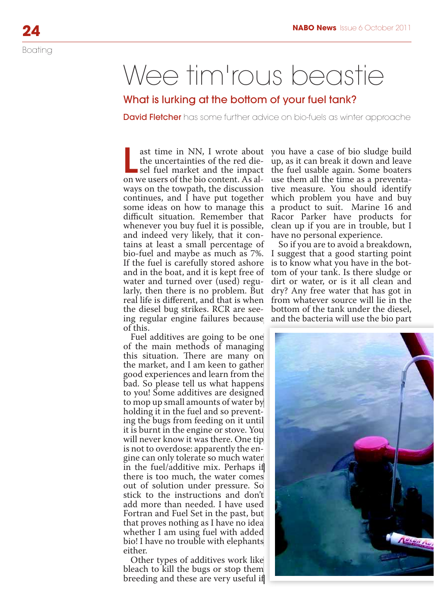## Wee tim'rous beastie

## What is lurking at the bottom of your fuel tank?

**David Fletcher** has some further advice on bio-fuels as winter approache

ast time in NN, I wrote about you have a case of bio sludge build<br>the uncertainties of the red die-up, as it can break it down and leave<br>sel fuel market and the impact the fuel usable again. Some boaters<br>on we users of the the uncertainties of the red dieon we users of the bio content. As alcontinues, and I have put together some ideas on how to manage this difficult situation. Remember that whenever you buy fuel it is possible, and indeed very likely, that it contains at least a small percentage of If the fuel is carefully stored ashore and in the boat, and it is kept free of water and turned over (used) reguof this.

Fuel additives are going to be one of the main methods of managing this situation. There are many on the market, and I am keen to gather good experiences and learn from the bad. So please tell us what happens to you! Some additives are designed to mop up small amounts of water by holding it in the fuel and so preventing the bugs from feeding on it until it is burnt in the engine or stove. You will never know it was there. One tip is not to overdose: apparently the engine can only tolerate so much water in the fuel/additive mix. Perhaps if there is too much, the water comes out of solution under pressure. So stick to the instructions and don't add more than needed. I have used Fortran and Fuel Set in the past, but that proves nothing as I have no idea whether I am using fuel with added bio! I have no trouble with elephants either. ne ing on<br>ing on her the ensed<br>inter the s if which the ensemble of the ensemble of the s if a solution<br>of the s if and the s if a life em if if

Other types of additives work like bleach to kill the bugs or stop them breeding and these are very useful if

ast time in NN, I wrote about you have a case of bio sludge build ways on the towpath, the discussion tive measure. You should identify up, as it can break it down and leave use them all the time as a preventawhich problem you have and buy a product to suit. Marine 16 and Racor Parker have products for clean up if you are in trouble, but I have no personal experience.

bio-fuel and maybe as much as 7%. I suggest that a good starting point larly, then there is no problem. But dry? Any free water that has got in real life is different, and that is when from whatever source will lie in the the diesel bug strikes. RCR are see-bottom of the tank under the diesel, ing regular engine failures because and the bacteria will use the bio part So if you are to avoid a breakdown, is to know what you have in the bottom of your tank. Is there sludge or dirt or water, or is it all clean and